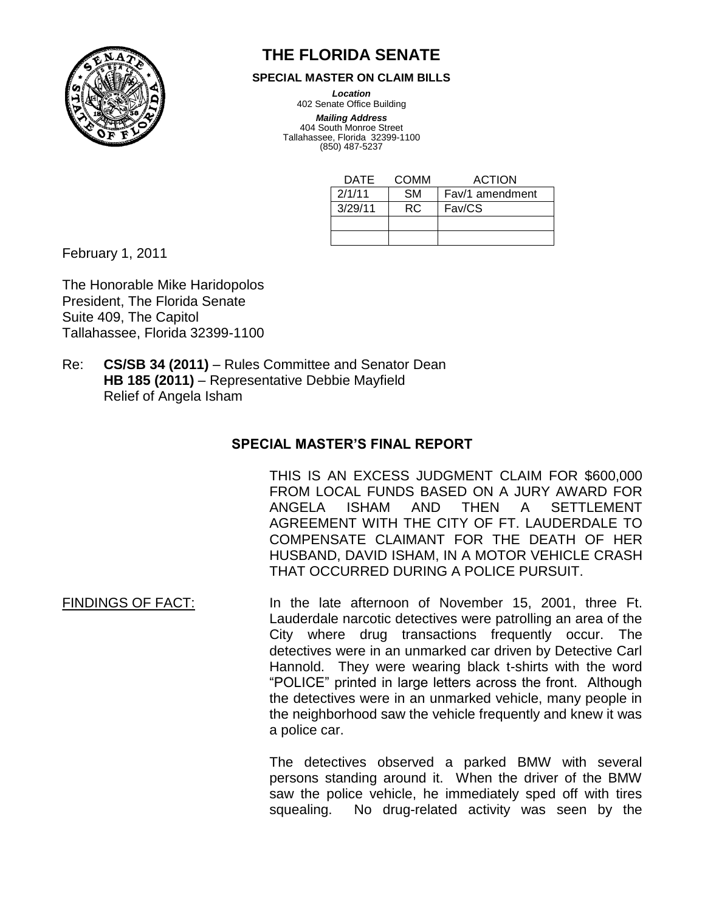

## **THE FLORIDA SENATE**

**SPECIAL MASTER ON CLAIM BILLS**

*Location*

402 Senate Office Building *Mailing Address*

404 South Monroe Street Tallahassee, Florida 32399-1100 (850) 487-5237

| DATF.   | COMM      | <b>ACTION</b>   |
|---------|-----------|-----------------|
| 2/1/11  | <b>SM</b> | Fav/1 amendment |
| 3/29/11 | RC.       | Fav/CS          |
|         |           |                 |
|         |           |                 |

February 1, 2011

The Honorable Mike Haridopolos President, The Florida Senate Suite 409, The Capitol Tallahassee, Florida 32399-1100

Re: **CS/SB 34 (2011)** – Rules Committee and Senator Dean **HB 185 (2011)** – Representative Debbie Mayfield Relief of Angela Isham

## **SPECIAL MASTER'S FINAL REPORT**

THIS IS AN EXCESS JUDGMENT CLAIM FOR \$600,000 FROM LOCAL FUNDS BASED ON A JURY AWARD FOR ANGELA ISHAM AND THEN A SETTLEMENT AGREEMENT WITH THE CITY OF FT. LAUDERDALE TO COMPENSATE CLAIMANT FOR THE DEATH OF HER HUSBAND, DAVID ISHAM, IN A MOTOR VEHICLE CRASH THAT OCCURRED DURING A POLICE PURSUIT.

FINDINGS OF FACT: In the late afternoon of November 15, 2001, three Ft. Lauderdale narcotic detectives were patrolling an area of the City where drug transactions frequently occur. The detectives were in an unmarked car driven by Detective Carl Hannold. They were wearing black t-shirts with the word "POLICE" printed in large letters across the front. Although the detectives were in an unmarked vehicle, many people in the neighborhood saw the vehicle frequently and knew it was a police car.

> The detectives observed a parked BMW with several persons standing around it. When the driver of the BMW saw the police vehicle, he immediately sped off with tires squealing. No drug-related activity was seen by the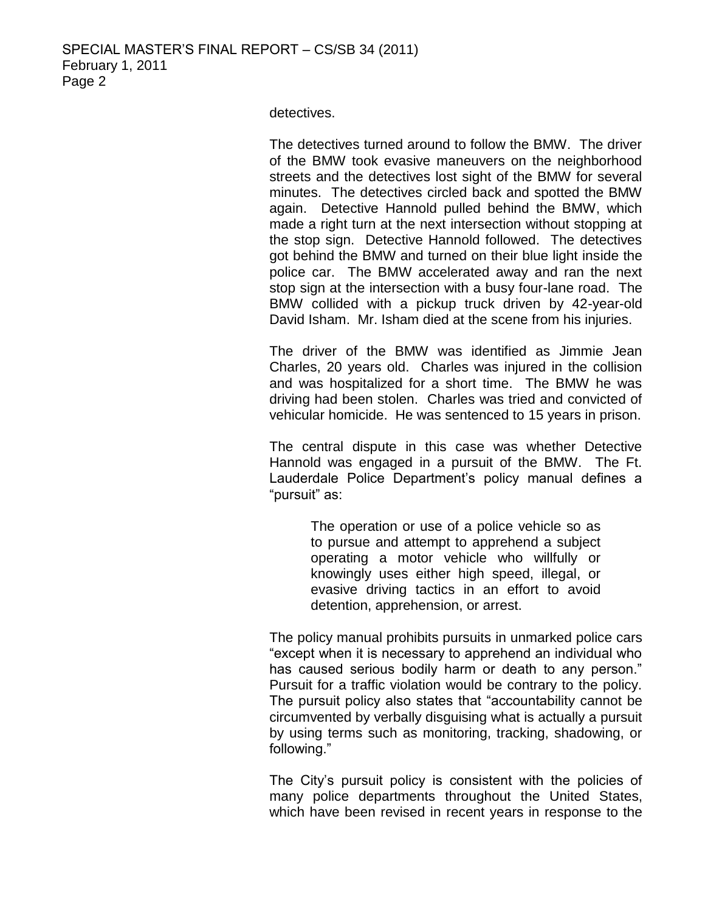detectives.

The detectives turned around to follow the BMW. The driver of the BMW took evasive maneuvers on the neighborhood streets and the detectives lost sight of the BMW for several minutes. The detectives circled back and spotted the BMW again. Detective Hannold pulled behind the BMW, which made a right turn at the next intersection without stopping at the stop sign. Detective Hannold followed. The detectives got behind the BMW and turned on their blue light inside the police car. The BMW accelerated away and ran the next stop sign at the intersection with a busy four-lane road. The BMW collided with a pickup truck driven by 42-year-old David Isham. Mr. Isham died at the scene from his injuries.

The driver of the BMW was identified as Jimmie Jean Charles, 20 years old. Charles was injured in the collision and was hospitalized for a short time. The BMW he was driving had been stolen. Charles was tried and convicted of vehicular homicide. He was sentenced to 15 years in prison.

The central dispute in this case was whether Detective Hannold was engaged in a pursuit of the BMW. The Ft. Lauderdale Police Department's policy manual defines a "pursuit" as:

> The operation or use of a police vehicle so as to pursue and attempt to apprehend a subject operating a motor vehicle who willfully or knowingly uses either high speed, illegal, or evasive driving tactics in an effort to avoid detention, apprehension, or arrest.

The policy manual prohibits pursuits in unmarked police cars "except when it is necessary to apprehend an individual who has caused serious bodily harm or death to any person." Pursuit for a traffic violation would be contrary to the policy. The pursuit policy also states that "accountability cannot be circumvented by verbally disguising what is actually a pursuit by using terms such as monitoring, tracking, shadowing, or following."

The City's pursuit policy is consistent with the policies of many police departments throughout the United States, which have been revised in recent years in response to the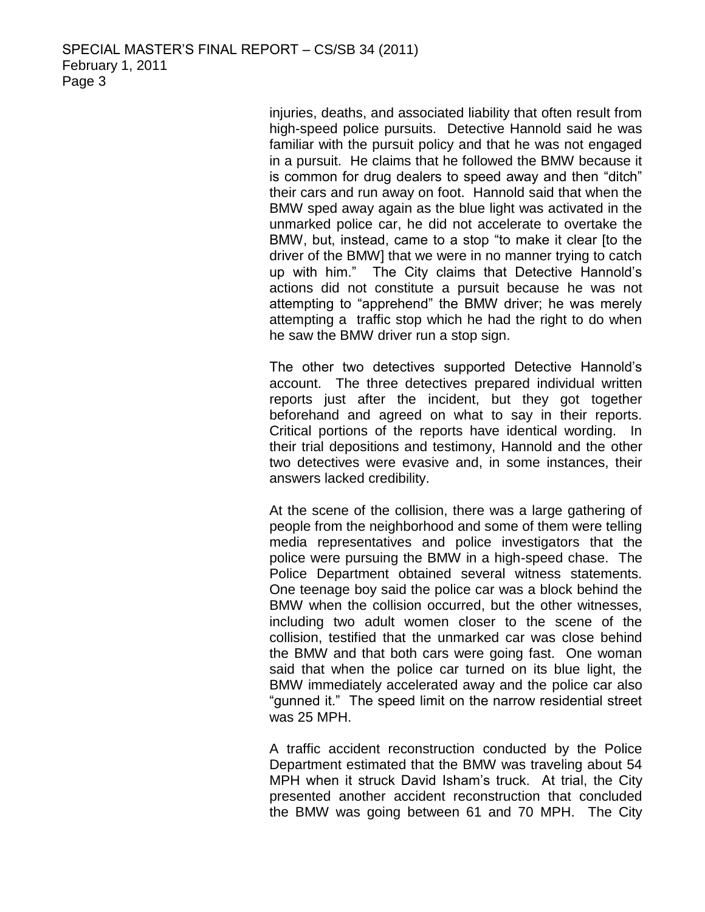injuries, deaths, and associated liability that often result from high-speed police pursuits. Detective Hannold said he was familiar with the pursuit policy and that he was not engaged in a pursuit. He claims that he followed the BMW because it is common for drug dealers to speed away and then "ditch" their cars and run away on foot. Hannold said that when the BMW sped away again as the blue light was activated in the unmarked police car, he did not accelerate to overtake the BMW, but, instead, came to a stop "to make it clear [to the driver of the BMW] that we were in no manner trying to catch up with him." The City claims that Detective Hannold's actions did not constitute a pursuit because he was not attempting to "apprehend" the BMW driver; he was merely attempting a traffic stop which he had the right to do when he saw the BMW driver run a stop sign.

The other two detectives supported Detective Hannold's account. The three detectives prepared individual written reports just after the incident, but they got together beforehand and agreed on what to say in their reports. Critical portions of the reports have identical wording. In their trial depositions and testimony, Hannold and the other two detectives were evasive and, in some instances, their answers lacked credibility.

At the scene of the collision, there was a large gathering of people from the neighborhood and some of them were telling media representatives and police investigators that the police were pursuing the BMW in a high-speed chase. The Police Department obtained several witness statements. One teenage boy said the police car was a block behind the BMW when the collision occurred, but the other witnesses, including two adult women closer to the scene of the collision, testified that the unmarked car was close behind the BMW and that both cars were going fast. One woman said that when the police car turned on its blue light, the BMW immediately accelerated away and the police car also "gunned it." The speed limit on the narrow residential street was 25 MPH.

A traffic accident reconstruction conducted by the Police Department estimated that the BMW was traveling about 54 MPH when it struck David Isham's truck. At trial, the City presented another accident reconstruction that concluded the BMW was going between 61 and 70 MPH. The City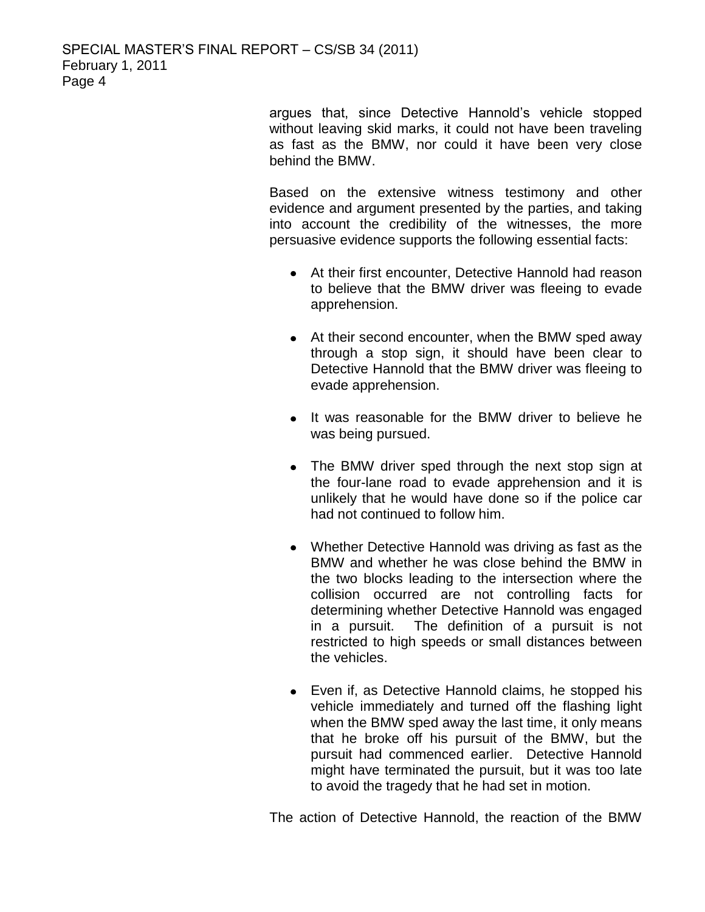SPECIAL MASTER'S FINAL REPORT – CS/SB 34 (2011) February 1, 2011 Page 4

> argues that, since Detective Hannold's vehicle stopped without leaving skid marks, it could not have been traveling as fast as the BMW, nor could it have been very close behind the BMW.

> Based on the extensive witness testimony and other evidence and argument presented by the parties, and taking into account the credibility of the witnesses, the more persuasive evidence supports the following essential facts:

- At their first encounter, Detective Hannold had reason to believe that the BMW driver was fleeing to evade apprehension.
- At their second encounter, when the BMW sped away through a stop sign, it should have been clear to Detective Hannold that the BMW driver was fleeing to evade apprehension.
- It was reasonable for the BMW driver to believe he was being pursued.
- The BMW driver sped through the next stop sign at the four-lane road to evade apprehension and it is unlikely that he would have done so if the police car had not continued to follow him.
- Whether Detective Hannold was driving as fast as the BMW and whether he was close behind the BMW in the two blocks leading to the intersection where the collision occurred are not controlling facts for determining whether Detective Hannold was engaged in a pursuit. The definition of a pursuit is not restricted to high speeds or small distances between the vehicles.
- Even if, as Detective Hannold claims, he stopped his vehicle immediately and turned off the flashing light when the BMW sped away the last time, it only means that he broke off his pursuit of the BMW, but the pursuit had commenced earlier. Detective Hannold might have terminated the pursuit, but it was too late to avoid the tragedy that he had set in motion.

The action of Detective Hannold, the reaction of the BMW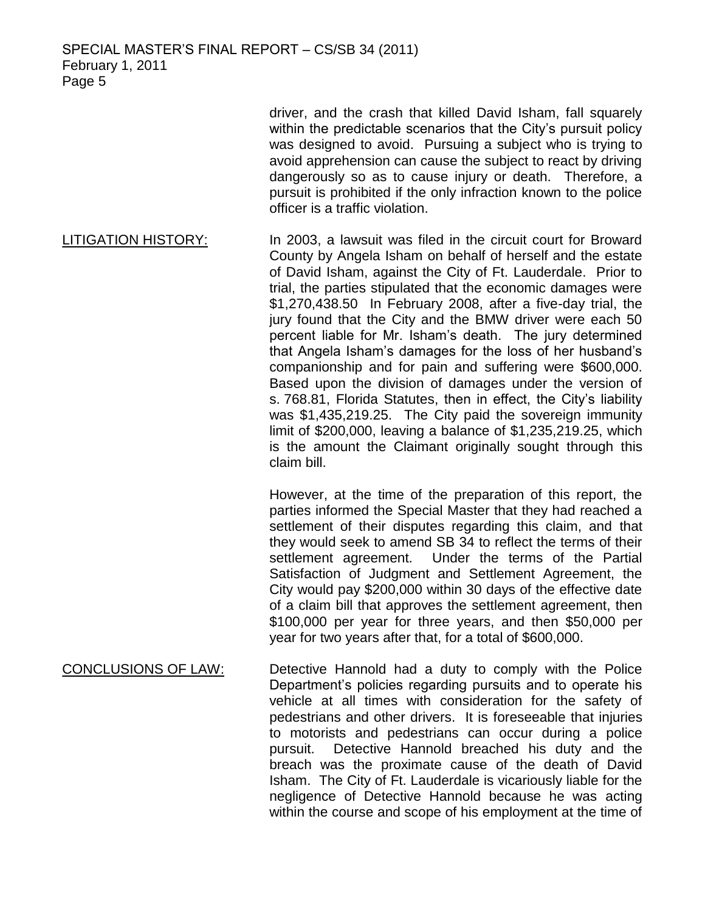SPECIAL MASTER'S FINAL REPORT – CS/SB 34 (2011) February 1, 2011 Page 5

> driver, and the crash that killed David Isham, fall squarely within the predictable scenarios that the City's pursuit policy was designed to avoid. Pursuing a subject who is trying to avoid apprehension can cause the subject to react by driving dangerously so as to cause injury or death. Therefore, a pursuit is prohibited if the only infraction known to the police officer is a traffic violation.

LITIGATION HISTORY: In 2003, a lawsuit was filed in the circuit court for Broward County by Angela Isham on behalf of herself and the estate of David Isham, against the City of Ft. Lauderdale. Prior to trial, the parties stipulated that the economic damages were \$1,270,438.50 In February 2008, after a five-day trial, the jury found that the City and the BMW driver were each 50 percent liable for Mr. Isham's death. The jury determined that Angela Isham's damages for the loss of her husband's companionship and for pain and suffering were \$600,000. Based upon the division of damages under the version of s. 768.81, Florida Statutes, then in effect, the City's liability was \$1,435,219.25. The City paid the sovereign immunity limit of \$200,000, leaving a balance of \$1,235,219.25, which is the amount the Claimant originally sought through this claim bill.

> However, at the time of the preparation of this report, the parties informed the Special Master that they had reached a settlement of their disputes regarding this claim, and that they would seek to amend SB 34 to reflect the terms of their settlement agreement. Under the terms of the Partial Satisfaction of Judgment and Settlement Agreement, the City would pay \$200,000 within 30 days of the effective date of a claim bill that approves the settlement agreement, then \$100,000 per year for three years, and then \$50,000 per year for two years after that, for a total of \$600,000.

CONCLUSIONS OF LAW: Detective Hannold had a duty to comply with the Police Department's policies regarding pursuits and to operate his vehicle at all times with consideration for the safety of pedestrians and other drivers. It is foreseeable that injuries to motorists and pedestrians can occur during a police pursuit. Detective Hannold breached his duty and the breach was the proximate cause of the death of David Isham. The City of Ft. Lauderdale is vicariously liable for the negligence of Detective Hannold because he was acting within the course and scope of his employment at the time of